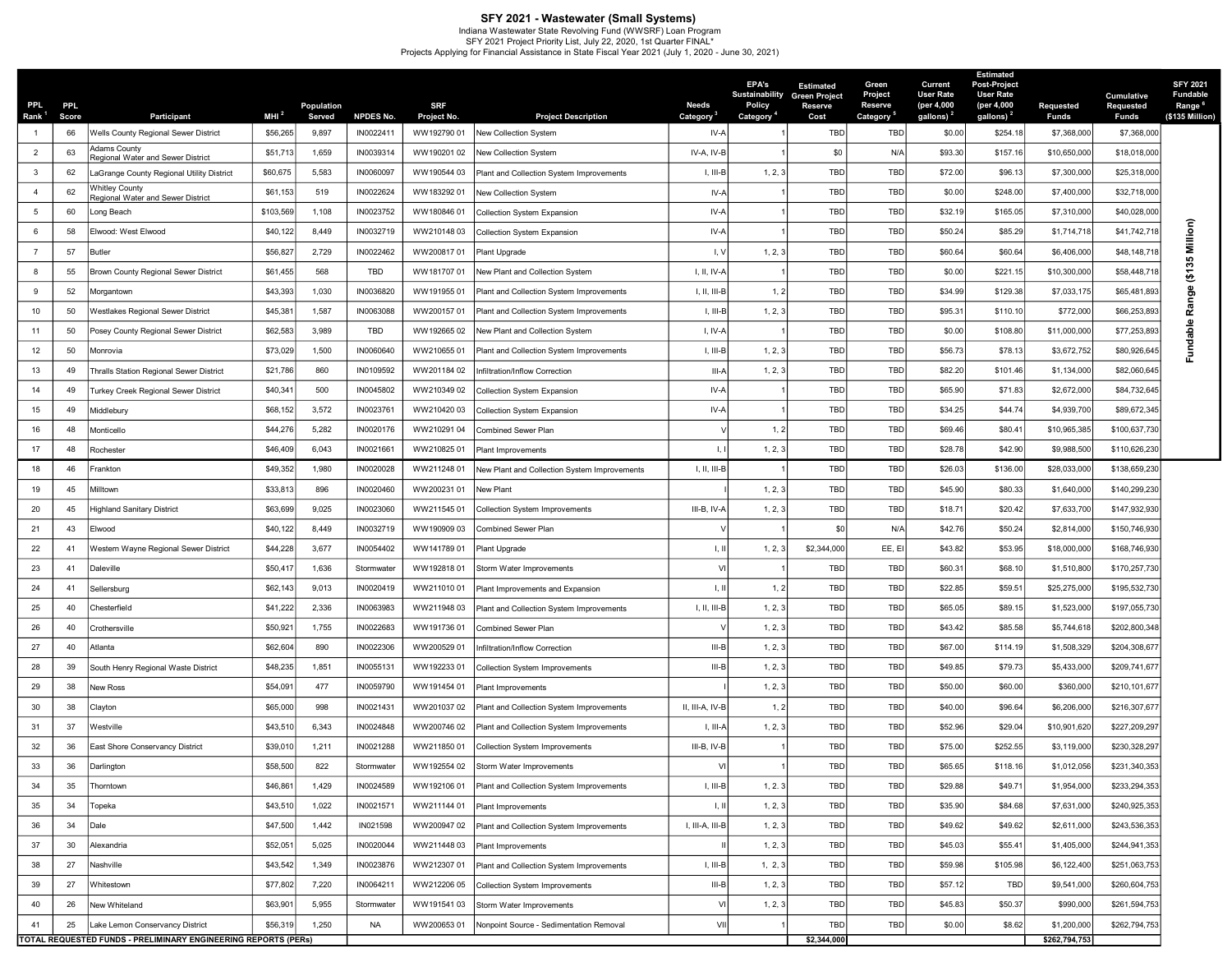**SFY 2021 - Wastewater (Small Systems)**<br>Indiana Wastewater State Revolving Fund (WWSRF) Loan Program<br>SFY 2021 Projects Applying for Financial Assistance in State Fiscal Year 2021 (July 1, 2020 - June 30, 2021)<br>Projects App

| <b>PPL</b><br>Rank <sup>1</sup> | <b>PPL</b><br>Score | <b>Participant</b>                                                    | MHI <sup>2</sup> | Population<br>Served | <b>NPDES No.</b> | SRF<br>Project No. | <b>Project Description</b>                   | Needs<br>Category         | <b>EPA's</b><br>Policy<br>Category <sup>4</sup> | <b>Estimated</b><br><b>Sustainability Green Project</b><br>Reserve<br>Cost | Green<br>Project<br>Reserve<br>Category <sup>5</sup> | Current<br><b>User Rate</b><br>(per 4,000<br>gallons) <sup>2</sup> | <b>Estimated</b><br><b>Post-Project</b><br><b>User Rate</b><br>(per 4,000<br>gallons) <sup>2</sup> | <b>Requested</b><br><b>Funds</b> | Cumulative<br>Requested<br>Funds | <b>SFY 2021</b><br><b>Fundable</b><br>Range <sup>'</sup><br>(\$135 Million) |
|---------------------------------|---------------------|-----------------------------------------------------------------------|------------------|----------------------|------------------|--------------------|----------------------------------------------|---------------------------|-------------------------------------------------|----------------------------------------------------------------------------|------------------------------------------------------|--------------------------------------------------------------------|----------------------------------------------------------------------------------------------------|----------------------------------|----------------------------------|-----------------------------------------------------------------------------|
| $\overline{1}$                  | 66                  | Wells County Regional Sewer District                                  | \$56,265         | 9,897                | IN0022411        | WW192790 01        | New Collection System                        | IV-A                      |                                                 | TBD                                                                        | <b>TBD</b>                                           | \$0.00                                                             | \$254.18                                                                                           | \$7,368,000                      | \$7,368,000                      |                                                                             |
| $\overline{2}$                  | 63                  | Adams County<br>Regional Water and Sewer District                     | \$51,713         | 1,659                | IN0039314        | WW19020102         | <b>New Collection System</b>                 | IV-A, IV-B                |                                                 | \$0                                                                        | N/A                                                  | \$93.30                                                            | \$157.16                                                                                           | \$10,650,000                     | \$18,018,000                     |                                                                             |
| $\mathbf{3}$                    | 62                  | LaGrange County Regional Utility District                             | \$60,675         | 5,583                | IN0060097        | WW190544 03        | Plant and Collection System Improvements     | I, III-B                  | 1, 2, 3                                         | TBD                                                                        | <b>TBD</b>                                           | \$72.00                                                            | \$96.13                                                                                            | \$7,300,000                      | \$25,318,000                     |                                                                             |
| $\overline{4}$                  | 62                  | <b>Whitley County</b><br>Regional Water and Sewer District            | \$61,153         | 519                  | IN0022624        | WW18329201         | New Collection System                        | IV-A                      |                                                 | TBD                                                                        | TBD                                                  | \$0.00                                                             | \$248.00                                                                                           | \$7,400,000                      | \$32,718,000                     |                                                                             |
| 5                               | 60                  | Long Beach                                                            | \$103,569        | 1,108                | IN0023752        | WW18084601         | Collection System Expansion                  | IV-A                      |                                                 | TBD                                                                        | TBD                                                  | \$32.1                                                             | \$165.05                                                                                           | \$7,310,000                      | \$40,028,000                     |                                                                             |
| 6                               | 58                  | Elwood: West Elwood                                                   | \$40,122         | 8,449                | IN0032719        | WW21014803         | Collection System Expansion                  | IV-A                      |                                                 | TBD                                                                        | TBD                                                  | \$50.24                                                            | \$85.29                                                                                            | \$1,714,718                      | \$41,742,718                     | Million)                                                                    |
| $\overline{7}$                  | 57                  | Butler                                                                | \$56,827         | 2,729                | IN0022462        | WW20081701         | Plant Upgrade                                | I, V                      | 1, 2, 3                                         | TBD                                                                        | <b>TBD</b>                                           | \$60.64                                                            | \$60.64                                                                                            | \$6,406,000                      | \$48,148,718                     |                                                                             |
| 8                               | 55                  | Brown County Regional Sewer District                                  | \$61,455         | 568                  | TBD              | WW18170701         | New Plant and Collection System              | I, II, IV-A               |                                                 | TBD                                                                        | <b>TBD</b>                                           | \$0.00                                                             | \$221.15                                                                                           | \$10,300,000                     | \$58,448,71                      | (\$135                                                                      |
| 9                               | 52                  | Morgantown                                                            | \$43,393         | 1,030                | IN0036820        | WW19195501         | Plant and Collection System Improvements     | $I, II, III-B$            | 1, 2                                            | TBD                                                                        | <b>TBD</b>                                           | \$34.99                                                            | \$129.38                                                                                           | \$7,033,175                      | \$65,481,893                     | nge                                                                         |
| 10                              | 50                  | Westlakes Regional Sewer District                                     | \$45,381         | 1,587                | IN0063088        | WW20015701         | Plant and Collection System Improvements     | I, III-B                  | 1, 2, 3                                         | TBD                                                                        | TBD                                                  | \$95.3'                                                            | \$110.10                                                                                           | \$772,000                        | \$66,253,893                     | Rai                                                                         |
| 11                              | 50                  | Posey County Regional Sewer District                                  | \$62,583         | 3,989                | TBD              | WW19266502         | New Plant and Collection System              | I, IV-A                   |                                                 | TBD                                                                        | <b>TBD</b>                                           | \$0.00                                                             | \$108.80                                                                                           | \$11,000,000                     | \$77,253,893                     | ₾<br>횸                                                                      |
| 12                              | 50                  | Monrovia                                                              | \$73,029         | 1,500                | IN0060640        | WW21065501         | Plant and Collection System Improvements     | I, III-B                  | 1, 2, 3                                         | TBD                                                                        | TBD                                                  | \$56.73                                                            | \$78.13                                                                                            | \$3,672,752                      | \$80,926,645                     | ರ<br>Ε                                                                      |
| 13                              | 49                  | Thralls Station Regional Sewer District                               | \$21,786         | 860                  | IN0109592        | WW201184 02        | Infiltration/Inflow Correction               | III-A                     | 1, 2, 3                                         | TBD                                                                        | TBD                                                  | \$82.20                                                            | \$101.46                                                                                           | \$1,134,000                      | \$82,060,645                     |                                                                             |
| 14                              | 49                  | Turkey Creek Regional Sewer District                                  | \$40,341         | 500                  | IN0045802        | WW210349 02        | Collection System Expansion                  | IV-A                      |                                                 | TBD                                                                        | <b>TBD</b>                                           | \$65.90                                                            | \$71.83                                                                                            | \$2,672,000                      | \$84,732,645                     |                                                                             |
| 15                              | 49                  | Middlebury                                                            | \$68,152         | 3,572                | IN0023761        | WW21042003         | Collection System Expansion                  | IV-A                      |                                                 | TBD                                                                        | <b>TBD</b>                                           | \$34.25                                                            | \$44.74                                                                                            | \$4,939,700                      | \$89,672,345                     |                                                                             |
| 16                              | 48                  | Monticello                                                            | \$44,276         | 5,282                | IN0020176        | WW210291 04        | Combined Sewer Plan                          |                           | 1, 2                                            | TBD                                                                        | <b>TBD</b>                                           | \$69.46                                                            | \$80.41                                                                                            | \$10,965,385                     | \$100,637,730                    |                                                                             |
| 17                              | 48                  | Rochester                                                             | \$46,409         | 6,043                | IN0021661        | WW21082501         | Plant Improvements                           | $\mathbf{L}$              | 1, 2, 3                                         | TBD                                                                        | <b>TBD</b>                                           | \$28.78                                                            | \$42.90                                                                                            | \$9,988,500                      | \$110,626,230                    |                                                                             |
| 18                              | 46                  | Frankton                                                              | \$49,352         | 1,980                | IN0020028        | WW211248 01        | New Plant and Collection System Improvements | $I, II, III-B$            |                                                 | TBD                                                                        | <b>TBD</b>                                           | \$26.03                                                            | \$136.00                                                                                           | \$28,033,000                     | \$138,659,230                    |                                                                             |
| 19                              | 45                  | Milltown                                                              | \$33,813         | 896                  | IN0020460        | WW20023101         | New Plant                                    |                           | 1, 2, 3                                         | TBD                                                                        | TBD                                                  | \$45.90                                                            | \$80.33                                                                                            | \$1,640,000                      | \$140,299,230                    |                                                                             |
| 20                              | 45                  | <b>Highland Sanitary District</b>                                     | \$63,699         | 9,025                | IN0023060        | WW21154501         | <b>Collection System Improvements</b>        | III-B, IV-A               | 1, 2, 3                                         | TBD                                                                        | TBD                                                  | \$18.71                                                            | \$20.42                                                                                            | \$7,633,700                      | \$147,932,930                    |                                                                             |
| 21                              | 43                  | Elwood                                                                | \$40,122         | 8,449                | IN0032719        | WW19090903         | Combined Sewer Plan                          |                           |                                                 | \$0                                                                        | N/A                                                  | \$42.76                                                            | \$50.24                                                                                            | \$2,814,000                      | \$150,746,930                    |                                                                             |
| 22                              | 41                  | Western Wayne Regional Sewer District                                 | \$44,228         | 3,677                | IN0054402        | WW14178901         | Plant Upgrade                                | -1, II                    | 1, 2, 3                                         | \$2,344,000                                                                | EE, EI                                               | \$43.82                                                            | \$53.95                                                                                            | \$18,000,000                     | \$168,746,930                    |                                                                             |
| 23                              | 41                  | Daleville                                                             | \$50,417         | 1,636                | Stormwater       | WW19281801         | Storm Water Improvements                     | VI                        |                                                 | TBD                                                                        | TBD                                                  | \$60.3'                                                            | \$68.10                                                                                            | \$1,510,800                      | \$170,257,730                    |                                                                             |
| 24                              | 41                  | Sellersburg                                                           | \$62,143         | 9,013                | IN0020419        | WW21101001         | Plant Improvements and Expansion             | $\parallel$ , $\parallel$ | 1, 2                                            | TBD                                                                        | <b>TBD</b>                                           | \$22.85                                                            | \$59.51                                                                                            | \$25,275,000                     | \$195,532,730                    |                                                                             |
| 25                              | 40                  | Chesterfield                                                          | \$41,222         | 2,336                | IN0063983        | WW21194803         | Plant and Collection System Improvements     | $I, II, III-B$            | 1, 2, 3                                         | TBD                                                                        | TBD                                                  | \$65.05                                                            | \$89.15                                                                                            | \$1,523,000                      | \$197,055,730                    |                                                                             |
| 26                              | 40                  | Crothersville                                                         | \$50,921         | 1,755                | IN0022683        | WW19173601         | Combined Sewer Plan                          |                           | 1, 2, 3                                         | TBD                                                                        | <b>TBD</b>                                           | \$43.42                                                            | \$85.58                                                                                            | \$5,744,618                      | \$202,800,348                    |                                                                             |
| 27                              | 40                  | Atlanta                                                               | \$62,604         | 890                  | IN0022306        | WW200529 01        | Infiltration/Inflow Correction               | $III-B$                   | 1, 2, 3                                         | TBD                                                                        | TBD                                                  | \$67.00                                                            | \$114.19                                                                                           | \$1,508,329                      | \$204,308,67                     |                                                                             |
| 28                              | 39                  | South Henry Regional Waste District                                   | \$48,235         | 1,851                | IN0055131        | WW19223301         | Collection System Improvements               | $III-B$                   | 1, 2, 3                                         | TBD                                                                        | <b>TBD</b>                                           | \$49.85                                                            | \$79.73                                                                                            | \$5,433,000                      | \$209,741,67                     |                                                                             |
| 29                              | 38                  | New Ross                                                              | \$54,091         | 477                  | IN0059790        | WW191454 01        | Plant Improvements                           |                           | 1, 2, 3                                         | TBD                                                                        | TBD                                                  | \$50.00                                                            | \$60.00                                                                                            | \$360,000                        | \$210,101,67                     |                                                                             |
| 30                              | 38                  | Clayton                                                               | \$65,000         | 998                  | IN0021431        | WW201037 02        | Plant and Collection System Improvements     | II, III-A, IV-B           | 1, 2                                            | TBD                                                                        | TBD                                                  | \$40.00                                                            | \$96.64                                                                                            | \$6,206,000                      | \$216,307,677                    |                                                                             |
| 31                              | 37                  | Westville                                                             | \$43,510         | 6,343                | IN0024848        | WW200746 02        | Plant and Collection System Improvements     | I, III-A                  | 1, 2, 3                                         | TBD                                                                        | TBD                                                  | \$52.96                                                            | \$29.04                                                                                            | \$10,901,620                     | \$227,209,297                    |                                                                             |
| 32                              | 36                  | <b>East Shore Conservancy District</b>                                | \$39,010         | 1,211                | IN0021288        | WW21185001         | Collection System Improvements               | III-B, IV-B               |                                                 | TBD                                                                        | TBD                                                  | \$75.00                                                            | \$252.55                                                                                           | \$3,119,000                      | \$230,328,297                    |                                                                             |
| 33                              | 36                  | Darlington                                                            | \$58,500         | 822                  | Stormwater       | WW192554 02        | Storm Water Improvements                     | VI                        |                                                 | TBD                                                                        | <b>TBD</b>                                           | \$65.65                                                            | \$118.16                                                                                           | \$1,012,056                      | \$231,340,353                    |                                                                             |
| 34                              | 35                  | Thorntown                                                             | \$46,861         | 1,429                | IN0024589        | WW19210601         | Plant and Collection System Improvements     | $I, III-B$                | 1, 2.3                                          | TBD                                                                        | <b>TBD</b>                                           | \$29.88                                                            | \$49.71                                                                                            | \$1,954,000                      | \$233,294,353                    |                                                                             |
| 35                              | 34                  | Topeka                                                                | \$43,510         | 1,022                | IN0021571        | WW211144 01        | Plant Improvements                           | $\parallel$ , $\parallel$ | 1, 2, 3                                         | TBD                                                                        | <b>TBD</b>                                           | \$35.90                                                            | \$84.68                                                                                            | \$7,631,000                      | \$240,925,353                    |                                                                             |
| 36                              | 34                  | Dale                                                                  | \$47,500         | 1,442                | IN021598         | WW200947 02        | Plant and Collection System Improvements     | I, III-A, III-B           | 1, 2, 3                                         | TBD                                                                        | <b>TBD</b>                                           | \$49.62                                                            | \$49.62                                                                                            | \$2,611,000                      | \$243,536,353                    |                                                                             |
| 37                              | 30                  | Alexandria                                                            | \$52,051         | 5,025                | IN0020044        | WW21144803         | Plant Improvements                           |                           | 1, 2, 3                                         | TBD                                                                        | TBD                                                  | \$45.03                                                            | \$55.41                                                                                            | \$1,405,000                      | \$244,941,353                    |                                                                             |
| 38                              | 27                  | Nashville                                                             | \$43,542         | 1,349                | IN0023876        | WW212307 01        | Plant and Collection System Improvements     | I, III-B                  | 1, 2, 3                                         | TBD                                                                        | <b>TBD</b>                                           | \$59.98                                                            | \$105.98                                                                                           | \$6,122,400                      | \$251,063,753                    |                                                                             |
| 39                              | 27                  | Whitestown                                                            | \$77,802         | 7,220                | IN0064211        | WW212206 05        | Collection System Improvements               | $III-B$                   | 1, 2, 3                                         | TBD                                                                        | <b>TBD</b>                                           | \$57.12                                                            | TBD                                                                                                | \$9,541,000                      | \$260,604,753                    |                                                                             |
| 40                              | 26                  | New Whiteland                                                         | \$63,901         | 5,955                | Stormwater       | WW19154103         | Storm Water Improvements                     | VI                        | 1, 2, 3                                         | TBD                                                                        | <b>TBD</b>                                           | \$45.83                                                            | \$50.37                                                                                            | \$990,000                        | \$261,594,753                    |                                                                             |
| 41                              | 25                  | Lake Lemon Conservancy District                                       | \$56,319         | 1,250                | NA               | WW20065301         | Nonpoint Source - Sedimentation Removal      | VII                       |                                                 | TBD                                                                        | <b>TBD</b>                                           | \$0.00                                                             | \$8.62                                                                                             | \$1,200,000                      | \$262,794,753                    |                                                                             |
|                                 |                     | <b>FOTAL REQUESTED FUNDS - PRELIMINARY ENGINEERING REPORTS (PERS)</b> |                  |                      |                  |                    |                                              |                           |                                                 | \$2,344,000                                                                |                                                      |                                                                    |                                                                                                    | \$262,794,753                    |                                  |                                                                             |